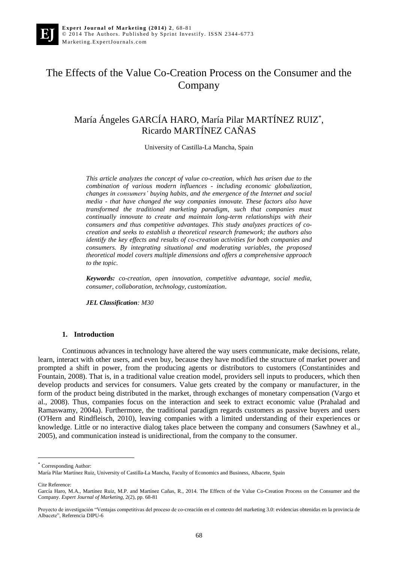# The Effects of the Value Co-Creation Process on the Consumer and the Company

## María Ángeles GARCÍA HARO, María Pilar MARTÍNEZ RUIZ\* , Ricardo MARTÍNEZ CAÑAS

University of Castilla-La Mancha, Spain

*This article analyzes the concept of value co-creation, which has arisen due to the combination of various modern influences - including economic globalization, changes in consumers' buying habits, and the emergence of the Internet and social media - that have changed the way companies innovate. These factors also have transformed the traditional marketing paradigm, such that companies must continually innovate to create and maintain long-term relationships with their consumers and thus competitive advantages. This study analyzes practices of cocreation and seeks to establish a theoretical research framework; the authors also identify the key effects and results of co-creation activities for both companies and consumers. By integrating situational and moderating variables, the proposed theoretical model covers multiple dimensions and offers a comprehensive approach to the topic.*

*Keywords: co-creation, open innovation, competitive advantage, social media, consumer, collaboration, technology, customization.*

*JEL Classification: M30*

#### **1. Introduction**

Continuous advances in technology have altered the way users communicate, make decisions, relate, learn, interact with other users, and even buy, because they have modified the structure of market power and prompted a shift in power, from the producing agents or distributors to customers (Constantinides and Fountain, 2008). That is, in a traditional value creation model, providers sell inputs to producers, which then develop products and services for consumers. Value gets created by the company or manufacturer, in the form of the product being distributed in the market, through exchanges of monetary compensation (Vargo et al., 2008). Thus, companies focus on the interaction and seek to extract economic value (Prahalad and Ramaswamy, 2004a). Furthermore, the traditional paradigm regards customers as passive buyers and users (O'Hern and Rindfleisch, 2010), leaving companies with a limited understanding of their experiences or knowledge. Little or no interactive dialog takes place between the company and consumers (Sawhney et al., 2005), and communication instead is unidirectional, from the company to the consumer.

\* Corresponding Author:

Cite Reference:

 $\ddot{\phantom{a}}$ 

María Pilar Martínez Ruiz, University of Castilla-La Mancha, Faculty of Economics and Business, Albacete, Spain

García Haro, M.A., Martínez Ruiz, M.P. and Martínez Cañas, R., 2014. The Effects of the Value Co-Creation Process on the Consumer and the Company. *Expert Journal of Marketing*, 2(2), pp. 68-81

Proyecto de investigación "Ventajas competitivas del proceso de co-creación en el contexto del marketing 3.0: evidencias obtenidas en la provincia de Albacete", Referencia DIPU-6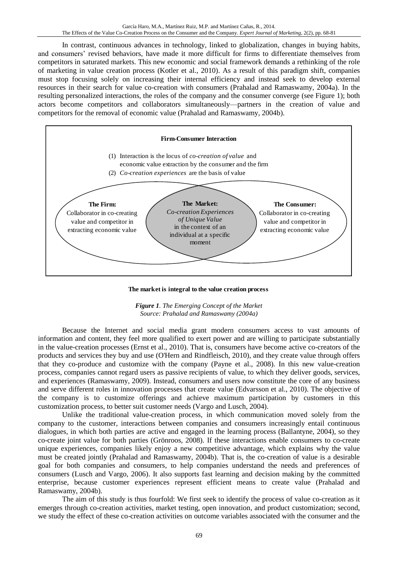In contrast, continuous advances in technology, linked to globalization, changes in buying habits, and consumers' revised behaviors, have made it more difficult for firms to differentiate themselves from competitors in saturated markets. This new economic and social framework demands a rethinking of the role of marketing in value creation process (Kotler et al., 2010). As a result of this paradigm shift, companies must stop focusing solely on increasing their internal efficiency and instead seek to develop external resources in their search for value co-creation with consumers (Prahalad and Ramaswamy, 2004a). In the resulting personalized interactions, the roles of the company and the consumer converge (see Figure 1); both actors become competitors and collaborators simultaneously—partners in the creation of value and competitors for the removal of economic value (Prahalad and Ramaswamy, 2004b).



**The market is integral to the value creation process**

*Figure 1. The Emerging Concept of the Market Source: Prahalad and Ramaswamy (2004a)*

Because the Internet and social media grant modern consumers access to vast amounts of information and content, they feel more qualified to exert power and are willing to participate substantially in the value-creation processes (Ernst et al., 2010). That is, consumers have become active co-creators of the products and services they buy and use (O'Hern and Rindfleisch, 2010), and they create value through offers that they co-produce and customize with the company (Payne et al., 2008). In this new value-creation process, companies cannot regard users as passive recipients of value, to which they deliver goods, services, and experiences (Ramaswamy, 2009). Instead, consumers and users now constitute the core of any business and serve different roles in innovation processes that create value (Edvarsson et al., 2010). The objective of the company is to customize offerings and achieve maximum participation by customers in this customization process, to better suit customer needs (Vargo and Lusch, 2004).

Unlike the traditional value-creation process, in which communication moved solely from the company to the customer, interactions between companies and consumers increasingly entail continuous dialogues, in which both parties are active and engaged in the learning process (Ballantyne, 2004), so they co-create joint value for both parties (Grönroos, 2008). If these interactions enable consumers to co-create unique experiences, companies likely enjoy a new competitive advantage, which explains why the value must be created jointly (Prahalad and Ramaswamy, 2004b). That is, the co-creation of value is a desirable goal for both companies and consumers, to help companies understand the needs and preferences of consumers (Lusch and Vargo, 2006). It also supports fast learning and decision making by the committed enterprise, because customer experiences represent efficient means to create value (Prahalad and Ramaswamy, 2004b).

The aim of this study is thus fourfold: We first seek to identify the process of value co-creation as it emerges through co-creation activities, market testing, open innovation, and product customization; second, we study the effect of these co-creation activities on outcome variables associated with the consumer and the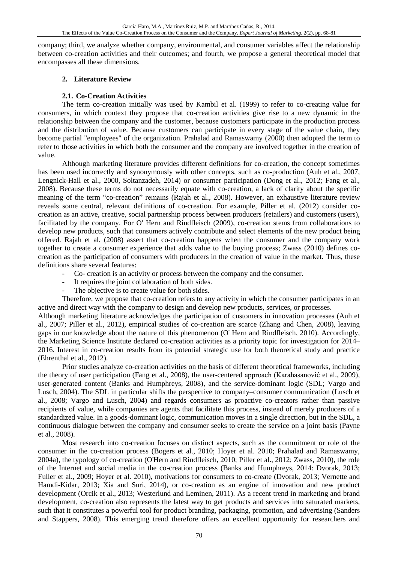company; third, we analyze whether company, environmental, and consumer variables affect the relationship between co-creation activities and their outcomes; and fourth, we propose a general theoretical model that encompasses all these dimensions.

## **2. Literature Review**

## **2.1. Co-Creation Activities**

The term co-creation initially was used by Kambil et al. (1999) to refer to co-creating value for consumers, in which context they propose that co-creation activities give rise to a new dynamic in the relationship between the company and the customer, because customers participate in the production process and the distribution of value. Because customers can participate in every stage of the value chain, they become partial "employees" of the organization. Prahalad and Ramaswamy (2000) then adopted the term to refer to those activities in which both the consumer and the company are involved together in the creation of value.

Although marketing literature provides different definitions for co-creation, the concept sometimes has been used incorrectly and synonymously with other concepts, such as co-production (Auh et al., 2007, Lengnick-Hall et al., 2000, Soltanzadeh, 2014) or consumer participation (Dong et al., 2012; Fang et al., 2008). Because these terms do not necessarily equate with co-creation, a lack of clarity about the specific meaning of the term "co-creation" remains (Rajah et al., 2008). However, an exhaustive literature review reveals some central, relevant definitions of co-creation. For example, Piller et al. (2012) consider cocreation as an active, creative, social partnership process between producers (retailers) and customers (users), facilitated by the company. For O' Hern and Rindfleisch (2009), co-creation stems from collaborations to develop new products, such that consumers actively contribute and select elements of the new product being offered. Rajah et al. (2008) assert that co-creation happens when the consumer and the company work together to create a consumer experience that adds value to the buying process; Zwass (2010) defines cocreation as the participation of consumers with producers in the creation of value in the market. Thus, these definitions share several features:

- Co- creation is an activity or process between the company and the consumer.
- It requires the joint collaboration of both sides.
- The objective is to create value for both sides.

Therefore, we propose that co-creation refers to any activity in which the consumer participates in an active and direct way with the company to design and develop new products, services, or processes.

Although marketing literature acknowledges the participation of customers in innovation processes (Auh et al., 2007; Piller et al., 2012), empirical studies of co-creation are scarce (Zhang and Chen, 2008), leaving gaps in our knowledge about the nature of this phenomenon (O' Hern and Rindfleisch, 2010). Accordingly, the Marketing Science Institute declared co-creation activities as a priority topic for investigation for 2014– 2016. Interest in co-creation results from its potential strategic use for both theoretical study and practice (Ehrenthal et al., 2012).

Prior studies analyze co-creation activities on the basis of different theoretical frameworks, including the theory of user participation (Fang et al., 2008), the user-centered approach (Karahasanović et al., 2009), user-generated content (Banks and Humphreys, 2008), and the service-dominant logic (SDL; Vargo and Lusch, 2004). The SDL in particular shifts the perspective to company–consumer communication (Lusch et al., 2008; Vargo and Lusch, 2004) and regards consumers as proactive co-creators rather than passive recipients of value, while companies are agents that facilitate this process, instead of merely producers of a standardized value. In a goods-dominant logic, communication moves in a single direction, but in the SDL, a continuous dialogue between the company and consumer seeks to create the service on a joint basis (Payne et al., 2008).

Most research into co-creation focuses on distinct aspects, such as the commitment or role of the consumer in the co-creation process (Bogers et al., 2010; Hoyer et al. 2010; Prahalad and Ramaswamy, 2004a), the typology of co-creation (O'Hern and Rindfleisch, 2010; Piller et al., 2012; Zwass, 2010), the role of the Internet and social media in the co-creation process (Banks and Humphreys, 2014: Dvorak, 2013; Fuller et al., 2009; Hoyer et al. 2010), motivations for consumers to co-create (Dvorak, 2013; Vernette and Hamdi-Kidar, 2013; Xia and Suri, 2014), or co-creation as an engine of innovation and new product development (Orcik et al., 2013; Westerlund and Leminen, 2011). As a recent trend in marketing and brand development, co-creation also represents the latest way to get products and services into saturated markets, such that it constitutes a powerful tool for product branding, packaging, promotion, and advertising (Sanders and Stappers, 2008). This emerging trend therefore offers an excellent opportunity for researchers and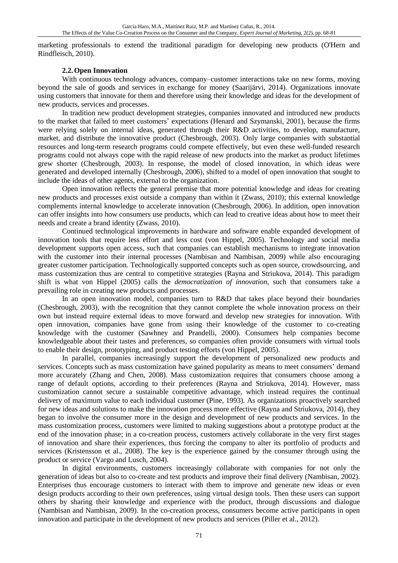marketing professionals to extend the traditional paradigm for developing new products (O'Hern and Rindfleisch, 2010).

## **2.2.Open Innovation**

With continuous technology advances, company–customer interactions take on new forms, moving beyond the sale of goods and services in exchange for money (Saarijärvi, 2014). Organizations innovate using customers that innovate for them and therefore using their knowledge and ideas for the development of new products, services and processes.

In tradition new product development strategies, companies innovated and introduced new products to the market that failed to meet customers' expectations (Henard and Szymanski, 2001), because the firms were relying solely on internal ideas, generated through their R&D activities, to develop, manufacture, market, and distribute the innovative product (Chesbrough, 2003). Only large companies with substantial resources and long-term research programs could compete effectively, but even these well-funded research programs could not always cope with the rapid release of new products into the market as product lifetimes grew shorter (Chesbrough, 2003). In response, the model of closed innovation, in which ideas were generated and developed internally (Chesbrough, 2006), shifted to a model of open innovation that sought to include the ideas of other agents, external to the organization.

Open innovation reflects the general premise that more potential knowledge and ideas for creating new products and processes exist outside a company than within it (Zwass, 2010); this external knowledge complements internal knowledge to accelerate innovation (Chesbrough, 2006). In addition, open innovation can offer insights into how consumers use products, which can lead to creative ideas about how to meet their needs and create a brand identity (Zwass, 2010).

Continued technological improvements in hardware and software enable expanded development of innovation tools that require less effort and less cost (von Hippel, 2005). Technology and social media development supports open access, such that companies can establish mechanisms to integrate innovation with the customer into their internal processes (Nambisan and Nambisan, 2009) while also encouraging greater customer participation. Technologically supported concepts such as open source, crowdsourcing, and mass customization thus are central to competitive strategies (Rayna and Striukova, 2014). This paradigm shift is what von Hippel (2005) calls the *democratization of innovation*, such that consumers take a prevailing role in creating new products and processes.

In an open innovation model, companies turn to R&D that takes place beyond their boundaries (Chesbrough, 2003), with the recognition that they cannot complete the whole innovation process on their own but instead require external ideas to move forward and develop new strategies for innovation. With open innovation, companies have gone from using their knowledge of the customer to co-creating knowledge with the customer (Sawhney and Prandelli, 2000). Consumers help companies become knowledgeable about their tastes and preferences, so companies often provide consumers with virtual tools to enable their design, prototyping, and product testing efforts (von Hippel, 2005).

In parallel, companies increasingly support the development of personalized new products and services. Concepts such as mass customization have gained popularity as means to meet consumers' demand more accurately (Zhang and Chen, 2008). Mass customization requires that consumers choose among a range of default options, according to their preferences (Rayna and Striukova, 2014). However, mass customization cannot secure a sustainable competitive advantage, which instead requires the continual delivery of maximum value to each individual customer (Pine, 1993). As organizations proactively searched for new ideas and solutions to make the innovation process more effective (Rayna and Striukova, 2014), they began to involve the consumer more in the design and development of new products and services. In the mass customization process, customers were limited to making suggestions about a prototype product at the end of the innovation phase; in a co-creation process, customers actively collaborate in the very first stages of innovation and share their experiences, thus forcing the company to alter its portfolio of products and services (Kristensson et al., 2008). The key is the experience gained by the consumer through using the product or service (Vargo and Lusch, 2004).

In digital environments, customers increasingly collaborate with companies for not only the generation of ideas but also to co-create and test products and improve their final delivery (Nambisan, 2002). Enterprises thus encourage customers to interact with them to improve and generate new ideas or even design products according to their own preferences, using virtual design tools. Then these users can support others by sharing their knowledge and experience with the product, through discussions and dialogue (Nambisan and Nambisan, 2009). In the co-creation process, consumers become active participants in open innovation and participate in the development of new products and services (Piller et al., 2012).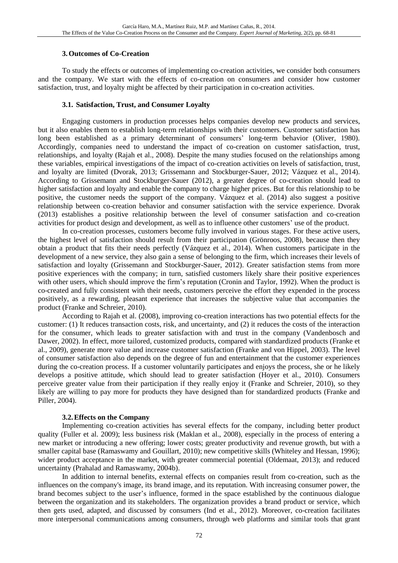## **3.Outcomes of Co-Creation**

To study the effects or outcomes of implementing co-creation activities, we consider both consumers and the company. We start with the effects of co-creation on consumers and consider how customer satisfaction, trust, and loyalty might be affected by their participation in co-creation activities.

## **3.1. Satisfaction, Trust, and Consumer Loyalty**

Engaging customers in production processes helps companies develop new products and services, but it also enables them to establish long-term relationships with their customers. Customer satisfaction has long been established as a primary determinant of consumers' long-term behavior (Oliver, 1980). Accordingly, companies need to understand the impact of co-creation on customer satisfaction, trust, relationships, and loyalty (Rajah et al., 2008). Despite the many studies focused on the relationships among these variables, empirical investigations of the impact of co-creation activities on levels of satisfaction, trust, and loyalty are limited (Dvorak, 2013; Grissemann and Stockburger-Sauer, 2012; Vázquez et al., 2014). According to Grissemann and Stockburger-Sauer (2012), a greater degree of co-creation should lead to higher satisfaction and loyalty and enable the company to charge higher prices. But for this relationship to be positive, the customer needs the support of the company. Vázquez et al. (2014) also suggest a positive relationship between co-creation behavior and consumer satisfaction with the service experience. Dvorak (2013) establishes a positive relationship between the level of consumer satisfaction and co-creation activities for product design and development, as well as to influence other customers' use of the product.

In co-creation processes, customers become fully involved in various stages. For these active users, the highest level of satisfaction should result from their participation (Grönroos, 2008), because then they obtain a product that fits their needs perfectly (Vázquez et al., 2014). When customers participate in the development of a new service, they also gain a sense of belonging to the firm, which increases their levels of satisfaction and loyalty (Grissemann and Stockburger-Sauer, 2012). Greater satisfaction stems from more positive experiences with the company; in turn, satisfied customers likely share their positive experiences with other users, which should improve the firm's reputation (Cronin and Taylor, 1992). When the product is co-created and fully consistent with their needs, customers perceive the effort they expended in the process positively, as a rewarding, pleasant experience that increases the subjective value that accompanies the product (Franke and Schreier, 2010).

According to Rajah et al. (2008), improving co-creation interactions has two potential effects for the customer: (1) It reduces transaction costs, risk, and uncertainty, and (2) it reduces the costs of the interaction for the consumer, which leads to greater satisfaction with and trust in the company (Vandenbosch and Dawer, 2002). In effect, more tailored, customized products, compared with standardized products (Franke et al., 2009), generate more value and increase customer satisfaction (Franke and von Hippel, 2003). The level of consumer satisfaction also depends on the degree of fun and entertainment that the customer experiences during the co-creation process. If a customer voluntarily participates and enjoys the process, she or he likely develops a positive attitude, which should lead to greater satisfaction (Hoyer et al., 2010). Consumers perceive greater value from their participation if they really enjoy it (Franke and Schreier, 2010), so they likely are willing to pay more for products they have designed than for standardized products (Franke and Piller, 2004).

#### **3.2.Effects on the Company**

Implementing co-creation activities has several effects for the company, including better product quality (Fuller et al. 2009); less business risk (Maklan et al., 2008), especially in the process of entering a new market or introducing a new offering; lower costs; greater productivity and revenue growth, but with a smaller capital base (Ramaswamy and Gouillart, 2010); new competitive skills (Whiteley and Hessan, 1996); wider product acceptance in the market, with greater commercial potential (Oldemaat, 2013); and reduced uncertainty (Prahalad and Ramaswamy, 2004b).

In addition to internal benefits, external effects on companies result from co-creation, such as the influences on the company's image, its brand image, and its reputation. With increasing consumer power, the brand becomes subject to the user's influence, formed in the space established by the continuous dialogue between the organization and its stakeholders. The organization provides a brand product or service, which then gets used, adapted, and discussed by consumers (Ind et al., 2012). Moreover, co-creation facilitates more interpersonal communications among consumers, through web platforms and similar tools that grant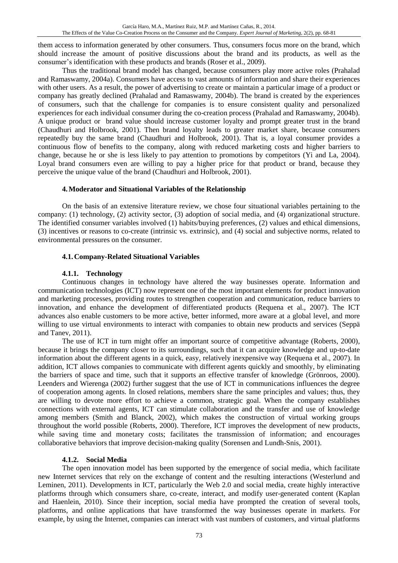them access to information generated by other consumers. Thus, consumers focus more on the brand, which should increase the amount of positive discussions about the brand and its products, as well as the consumer's identification with these products and brands (Roser et al., 2009).

Thus the traditional brand model has changed, because consumers play more active roles (Prahalad and Ramaswamy, 2004a). Consumers have access to vast amounts of information and share their experiences with other users. As a result, the power of advertising to create or maintain a particular image of a product or company has greatly declined (Prahalad and Ramaswamy, 2004b). The brand is created by the experiences of consumers, such that the challenge for companies is to ensure consistent quality and personalized experiences for each individual consumer during the co-creation process (Prahalad and Ramaswamy, 2004b). A unique product or brand value should increase customer loyalty and prompt greater trust in the brand (Chaudhuri and Holbrook, 2001). Then brand loyalty leads to greater market share, because consumers repeatedly buy the same brand (Chaudhuri and Holbrook, 2001). That is, a loyal consumer provides a continuous flow of benefits to the company, along with reduced marketing costs and higher barriers to change, because he or she is less likely to pay attention to promotions by competitors (Yi and La, 2004). Loyal brand consumers even are willing to pay a higher price for that product or brand, because they perceive the unique value of the brand (Chaudhuri and Holbrook, 2001).

## **4.Moderator and Situational Variables of the Relationship**

On the basis of an extensive literature review, we chose four situational variables pertaining to the company: (1) technology, (2) activity sector, (3) adoption of social media, and (4) organizational structure. The identified consumer variables involved (1) habits/buying preferences, (2) values and ethical dimensions, (3) incentives or reasons to co-create (intrinsic vs. extrinsic), and (4) social and subjective norms, related to environmental pressures on the consumer.

## **4.1.Company-Related Situational Variables**

## **4.1.1. Technology**

Continuous changes in technology have altered the way businesses operate. Information and communication technologies (ICT) now represent one of the most important elements for product innovation and marketing processes, providing routes to strengthen cooperation and communication, reduce barriers to innovation, and enhance the development of differentiated products (Requena et al., 2007). The ICT advances also enable customers to be more active, better informed, more aware at a global level, and more willing to use virtual environments to interact with companies to obtain new products and services (Seppä and Tanev, 2011).

The use of ICT in turn might offer an important source of competitive advantage (Roberts, 2000), because it brings the company closer to its surroundings, such that it can acquire knowledge and up-to-date information about the different agents in a quick, easy, relatively inexpensive way (Requena et al., 2007). In addition, ICT allows companies to communicate with different agents quickly and smoothly, by eliminating the barriers of space and time, such that it supports an effective transfer of knowledge (Grönroos, 2000). Leenders and Wierenga (2002) further suggest that the use of ICT in communications influences the degree of cooperation among agents. In closed relations, members share the same principles and values; thus, they are willing to devote more effort to achieve a common, strategic goal. When the company establishes connections with external agents, ICT can stimulate collaboration and the transfer and use of knowledge among members (Smith and Blanck, 2002), which makes the construction of virtual working groups throughout the world possible (Roberts, 2000). Therefore, ICT improves the development of new products, while saving time and monetary costs; facilitates the transmission of information; and encourages collaborative behaviors that improve decision-making quality (Sorensen and Lundh-Snis, 2001).

#### **4.1.2. Social Media**

The open innovation model has been supported by the emergence of social media, which facilitate new Internet services that rely on the exchange of content and the resulting interactions (Westerlund and Leminen, 2011). Developments in ICT, particularly the Web 2.0 and social media, create highly interactive platforms through which consumers share, co-create, interact, and modify user-generated content (Kaplan and Haenlein, 2010). Since their inception, social media have prompted the creation of several tools, platforms, and online applications that have transformed the way businesses operate in markets. For example, by using the Internet, companies can interact with vast numbers of customers, and virtual platforms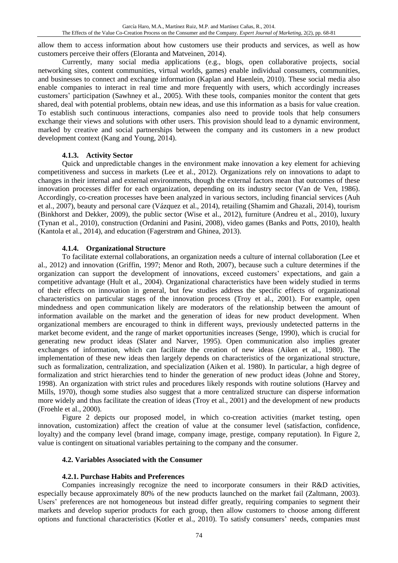allow them to access information about how customers use their products and services, as well as how customers perceive their offers (Eloranta and Matveinen, 2014).

Currently, many social media applications (e.g., blogs, open collaborative projects, social networking sites, content communities, virtual worlds, games) enable individual consumers, communities, and businesses to connect and exchange information (Kaplan and Haenlein, 2010). These social media also enable companies to interact in real time and more frequently with users, which accordingly increases customers' participation (Sawhney et al., 2005). With these tools, companies monitor the content that gets shared, deal with potential problems, obtain new ideas, and use this information as a basis for value creation. To establish such continuous interactions, companies also need to provide tools that help consumers exchange their views and solutions with other users. This provision should lead to a dynamic environment, marked by creative and social partnerships between the company and its customers in a new product development context (Kang and Young, 2014).

## **4.1.3. Activity Sector**

Quick and unpredictable changes in the environment make innovation a key element for achieving competitiveness and success in markets (Lee et al., 2012). Organizations rely on innovations to adapt to changes in their internal and external environments, though the external factors mean that outcomes of these innovation processes differ for each organization, depending on its industry sector (Van de Ven, 1986). Accordingly, co-creation processes have been analyzed in various sectors, including financial services (Auh et al., 2007), beauty and personal care (Vázquez et al., 2014), retailing (Shamim and Ghazali, 2014), tourism (Binkhorst and Dekker, 2009), the public sector (Wise et al., 2012), furniture (Andreu et al., 2010), luxury (Tynan et al., 2010), construction (Ordanini and Pasini, 2008), video games (Banks and Potts, 2010), health (Kantola et al., 2014), and education (Fagerstrøm and Ghinea, 2013).

## **4.1.4. Organizational Structure**

To facilitate external collaborations, an organization needs a culture of internal collaboration (Lee et al., 2012) and innovation (Griffin, 1997; Menor and Roth, 2007), because such a culture determines if the organization can support the development of innovations, exceed customers' expectations, and gain a competitive advantage (Hult et al., 2004). Organizational characteristics have been widely studied in terms of their effects on innovation in general, but few studies address the specific effects of organizational characteristics on particular stages of the innovation process (Troy et al., 2001). For example, open mindedness and open communication likely are moderators of the relationship between the amount of information available on the market and the generation of ideas for new product development. When organizational members are encouraged to think in different ways, previously undetected patterns in the market become evident, and the range of market opportunities increases (Senge, 1990), which is crucial for generating new product ideas (Slater and Narver, 1995). Open communication also implies greater exchanges of information, which can facilitate the creation of new ideas (Aiken et al., 1980). The implementation of these new ideas then largely depends on characteristics of the organizational structure, such as formalization, centralization, and specialization (Aiken et al. 1980). In particular, a high degree of formalization and strict hierarchies tend to hinder the generation of new product ideas (Johne and Storey, 1998). An organization with strict rules and procedures likely responds with routine solutions (Harvey and Mills, 1970), though some studies also suggest that a more centralized structure can disperse information more widely and thus facilitate the creation of ideas (Troy et al., 2001) and the development of new products (Froehle et al., 2000).

Figure 2 depicts our proposed model, in which co-creation activities (market testing, open innovation, customization) affect the creation of value at the consumer level (satisfaction, confidence, loyalty) and the company level (brand image, company image, prestige, company reputation). In Figure 2, value is contingent on situational variables pertaining to the company and the consumer.

## **4.2. Variables Associated with the Consumer**

## **4.2.1. Purchase Habits and Preferences**

Companies increasingly recognize the need to incorporate consumers in their R&D activities, especially because approximately 80% of the new products launched on the market fail (Zaltmann, 2003). Users' preferences are not homogeneous but instead differ greatly, requiring companies to segment their markets and develop superior products for each group, then allow customers to choose among different options and functional characteristics (Kotler et al., 2010). To satisfy consumers' needs, companies must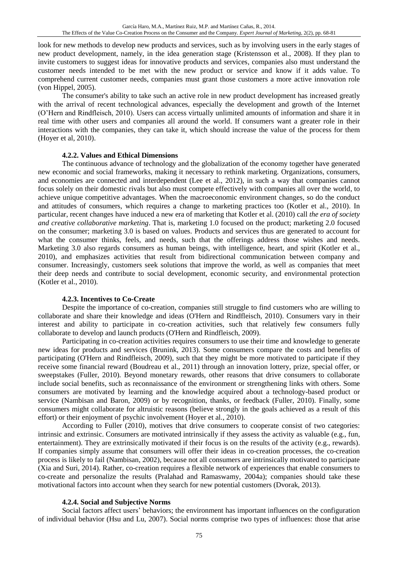look for new methods to develop new products and services, such as by involving users in the early stages of new product development, namely, in the idea generation stage (Kristensson et al., 2008). If they plan to invite customers to suggest ideas for innovative products and services, companies also must understand the customer needs intended to be met with the new product or service and know if it adds value. To comprehend current customer needs, companies must grant those customers a more active innovation role (von Hippel, 2005).

The consumer's ability to take such an active role in new product development has increased greatly with the arrival of recent technological advances, especially the development and growth of the Internet (O'Hern and Rindfleisch, 2010). Users can access virtually unlimited amounts of information and share it in real time with other users and companies all around the world. If consumers want a greater role in their interactions with the companies, they can take it, which should increase the value of the process for them (Hoyer et al, 2010).

#### **4.2.2. Values and Ethical Dimensions**

The continuous advance of technology and the globalization of the economy together have generated new economic and social frameworks, making it necessary to rethink marketing. Organizations, consumers, and economies are connected and interdependent (Lee et al., 2012), in such a way that companies cannot focus solely on their domestic rivals but also must compete effectively with companies all over the world, to achieve unique competitive advantages. When the macroeconomic environment changes, so do the conduct and attitudes of consumers, which requires a change to marketing practices too (Kotler et al., 2010). In particular, recent changes have induced a new era of marketing that Kotler et al. (2010) call *the era of society and creative collaborative marketing*. That is, marketing 1.0 focused on the product; marketing 2.0 focused on the consumer; marketing 3.0 is based on values. Products and services thus are generated to account for what the consumer thinks, feels, and needs, such that the offerings address those wishes and needs. Marketing 3.0 also regards consumers as human beings, with intelligence, heart, and spirit (Kotler et al., 2010), and emphasizes activities that result from bidirectional communication between company and consumer. Increasingly, customers seek solutions that improve the world, as well as companies that meet their deep needs and contribute to social development, economic security, and environmental protection (Kotler et al., 2010).

#### **4.2.3. Incentives to Co-Create**

Despite the importance of co-creation, companies still struggle to find customers who are willing to collaborate and share their knowledge and ideas (O'Hern and Rindfleisch, 2010). Consumers vary in their interest and ability to participate in co-creation activities, such that relatively few consumers fully collaborate to develop and launch products (O'Hern and Rindfleisch, 2009).

Participating in co-creation activities requires consumers to use their time and knowledge to generate new ideas for products and services (Brunink, 2013). Some consumers compare the costs and benefits of participating (O'Hern and Rindfleisch, 2009), such that they might be more motivated to participate if they receive some financial reward (Boudreau et al., 2011) through an innovation lottery, prize, special offer, or sweepstakes (Fuller, 2010). Beyond monetary rewards, other reasons that drive consumers to collaborate include social benefits, such as reconnaissance of the environment or strengthening links with others. Some consumers are motivated by learning and the knowledge acquired about a technology-based product or service (Nambisan and Baron, 2009) or by recognition, thanks, or feedback (Fuller, 2010). Finally, some consumers might collaborate for altruistic reasons (believe strongly in the goals achieved as a result of this effort) or their enjoyment of psychic involvement (Hoyer et al., 2010).

According to Fuller (2010), motives that drive consumers to cooperate consist of two categories: intrinsic and extrinsic. Consumers are motivated intrinsically if they assess the activity as valuable (e.g., fun, entertainment). They are extrinsically motivated if their focus is on the results of the activity (e.g., rewards). If companies simply assume that consumers will offer their ideas in co-creation processes, the co-creation process is likely to fail (Nambisan, 2002), because not all consumers are intrinsically motivated to participate (Xia and Suri, 2014). Rather, co-creation requires a flexible network of experiences that enable consumers to co-create and personalize the results (Pralahad and Ramaswamy, 2004a); companies should take these motivational factors into account when they search for new potential customers (Dvorak, 2013).

#### **4.2.4. Social and Subjective Norms**

Social factors affect users' behaviors; the environment has important influences on the configuration of individual behavior (Hsu and Lu, 2007). Social norms comprise two types of influences: those that arise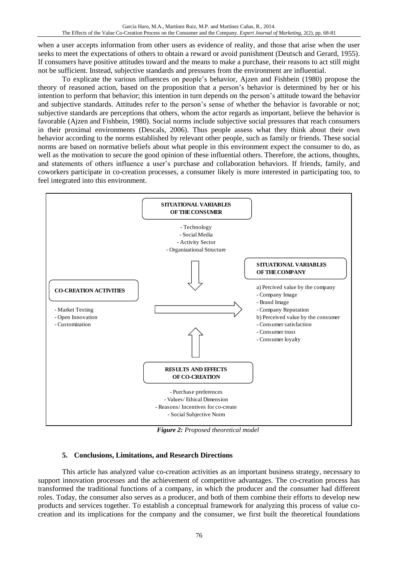when a user accepts information from other users as evidence of reality, and those that arise when the user seeks to meet the expectations of others to obtain a reward or avoid punishment (Deutsch and Gerard, 1955). If consumers have positive attitudes toward and the means to make a purchase, their reasons to act still might not be sufficient. Instead, subjective standards and pressures from the environment are influential.

To explicate the various influences on people's behavior, Ajzen and Fishbein (1980) propose the theory of reasoned action, based on the proposition that a person's behavior is determined by her or his intention to perform that behavior; this intention in turn depends on the person's attitude toward the behavior and subjective standards. Attitudes refer to the person's sense of whether the behavior is favorable or not; subjective standards are perceptions that others, whom the actor regards as important, believe the behavior is favorable (Ajzen and Fishbein, 1980). Social norms include subjective social pressures that reach consumers in their proximal environments (Descals, 2006). Thus people assess what they think about their own behavior according to the norms established by relevant other people, such as family or friends. These social norms are based on normative beliefs about what people in this environment expect the consumer to do, as well as the motivation to secure the good opinion of these influential others. Therefore, the actions, thoughts, and statements of others influence a user's purchase and collaboration behaviors. If friends, family, and coworkers participate in co-creation processes, a consumer likely is more interested in participating too, to feel integrated into this environment.



*Figure 2: Proposed theoretical model*

## **5. Conclusions, Limitations, and Research Directions**

This article has analyzed value co-creation activities as an important business strategy, necessary to support innovation processes and the achievement of competitive advantages. The co-creation process has transformed the traditional functions of a company, in which the producer and the consumer had different roles. Today, the consumer also serves as a producer, and both of them combine their efforts to develop new products and services together. To establish a conceptual framework for analyzing this process of value cocreation and its implications for the company and the consumer, we first built the theoretical foundations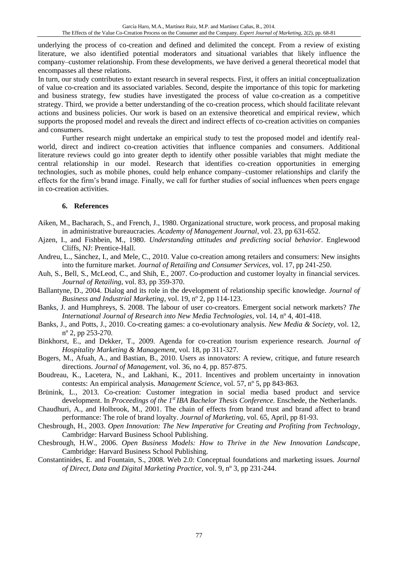underlying the process of co-creation and defined and delimited the concept. From a review of existing literature, we also identified potential moderators and situational variables that likely influence the company–customer relationship. From these developments, we have derived a general theoretical model that encompasses all these relations.

In turn, our study contributes to extant research in several respects. First, it offers an initial conceptualization of value co-creation and its associated variables. Second, despite the importance of this topic for marketing and business strategy, few studies have investigated the process of value co-creation as a competitive strategy. Third, we provide a better understanding of the co-creation process, which should facilitate relevant actions and business policies. Our work is based on an extensive theoretical and empirical review, which supports the proposed model and reveals the direct and indirect effects of co-creation activities on companies and consumers.

Further research might undertake an empirical study to test the proposed model and identify realworld, direct and indirect co-creation activities that influence companies and consumers. Additional literature reviews could go into greater depth to identify other possible variables that might mediate the central relationship in our model. Research that identifies co-creation opportunities in emerging technologies, such as mobile phones, could help enhance company–customer relationships and clarify the effects for the firm's brand image. Finally, we call for further studies of social influences when peers engage in co-creation activities.

## **6. References**

- Aiken, M., Bacharach, S., and French, J., 1980. Organizational structure, work process, and proposal making in administrative bureaucracies. *Academy of Management Journal*, vol. 23, pp 631-652.
- Ajzen, I., and Fishbein, M., 1980. *Understanding attitudes and predicting social behavior*. Englewood Cliffs, NJ: Prentice-Hall.
- Andreu, L., Sánchez, I., and Mele, C., 2010. Value co-creation among retailers and consumers: New insights into the furniture market. *Journal of Retailing and Consumer Services*, vol. 17, pp 241-250.
- Auh, S., Bell, S., McLeod, C., and Shih, E., 2007. Co-production and customer loyalty in financial services. *Journal of Retailing,* vol. 83, pp 359-370.
- Ballantyne, D., 2004. Dialog and its role in the development of relationship specific knowledge. *Journal of Business and Industrial Marketing*, vol. 19, nº 2, pp 114-123.
- Banks, J. and Humphreys, S. 2008. The labour of user co-creators. Emergent social network markets? *The International Journal of Research into New Media Technologies*, vol. 14, nº 4, 401-418.
- Banks, J., and Potts, J., 2010. Co-creating games: a co-evolutionary analysis. *New Media & Society*, vol. 12, nº 2, pp 253-270.
- Binkhorst, E., and Dekker, T., 2009. Agenda for co-creation tourism experience research. *Journal of Hospitality Marketing & Management,* vol. 18, pp 311-327.
- Bogers, M., Afuah, A., and Bastian, B., 2010. Users as innovators: A review, critique, and future research directions. *Journal of Management*, vol. 36, no 4, pp. 857-875.
- Boudreau, K., Lacetera, N., and Lakhani, K., 2011. Incentives and problem uncertainty in innovation contests: An empirical analysis. *Management Science*, vol. 57, nº 5, pp 843‐863.
- Brünink, L., 2013. Co-creation: Customer integration in social media based product and service development. In *Proceedings of the 1<sup>st</sup> IBA Bachelor Thesis Conference*. Enschede, the Netherlands.
- Chaudhuri, A., and Holbrook, M., 2001. The chain of effects from brand trust and brand affect to brand performance: The role of brand loyalty. *Journal of Marketing*, vol. 65, April, pp 81-93.
- Chesbrough, H., 2003. *Open Innovation: The New Imperative for Creating and Profiting from Technology*, Cambridge: Harvard Business School Publishing.
- Chesbrough, H.W., 2006. *Open Business Models: How to Thrive in the New Innovation Landscape*, Cambridge: Harvard Business School Publishing.
- Constantinides, E. and Fountain, S., 2008. Web 2.0: Conceptual foundations and marketing issues. *Journal of Direct, Data and Digital Marketing Practice,* vol. 9, nº 3, pp 231-244.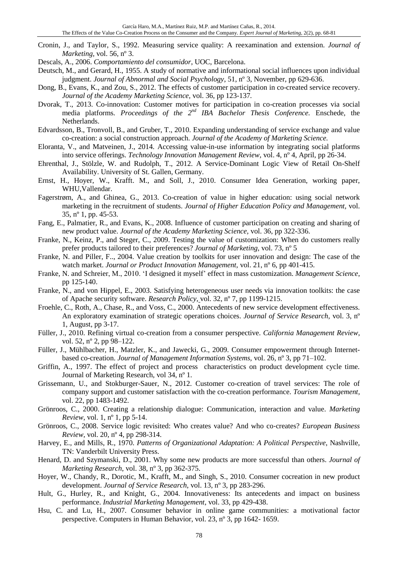- Cronin, J., and Taylor, S., 1992. Measuring service quality: A reexamination and extension. *Journal of Marketing,* vol. 56, nº 3.
- Descals, A., 2006. *Comportamiento del consumidor*, UOC, Barcelona.
- Deutsch, M., and Gerard, H., 1955. A study of normative and informational social influences upon individual judgment. *Journal of Abnormal and Social Psychology*, 51, nº 3, November, pp 629-636.
- Dong, B., Evans, K., and Zou, S., 2012. The effects of customer participation in co-created service recovery. *Journal of the Academy Marketing Science,* vol. 36, pp 123-137*.*
- Dvorak, T., 2013. Co-innovation: Customer motives for participation in co-creation processes via social media platforms. *Proceedings of the 2<sup>nd</sup> IBA Bachelor Thesis Conference*. Enschede, the Netherlands.
- Edvardsson, B., Tronvoll, B., and Gruber, T., 2010. Expanding understanding of service exchange and value co-creation: a social construction approach. *Journal of the Academy of Marketing Science.*
- Eloranta, V., and Matveinen, J., 2014. Accessing value-in-use information by integrating social platforms into service offerings. *Technology Innovation Management Review*, vol. 4, nº 4, April, pp 26-34.
- Ehrenthal, J., Stölzle, W. and Rudolph, T., 2012. A Service-Dominant Logic View of Retail On-Shelf Availability. University of St. Gallen, Germany.
- Ernst, H., Hoyer, W., Krafft. M., and Soll, J., 2010. Consumer Idea Generation, working paper, WHU,Vallendar.
- Fagerstrøm, A., and Ghinea, G., 2013. Co-creation of value in higher education: using social network marketing in the recruitment of students. *Journal of Higher Education Policy and Management,* vol. 35, nº 1, pp. 45-53.
- Fang, E., Palmatier, R., and Evans, K., 2008. Influence of customer participation on creating and sharing of new product value. *Journal of the Academy Marketing Science,* vol. 36, pp 322-336.
- Franke, N., Keinz, P., and Steger, C., 2009. Testing the value of customization: When do customers really prefer products tailored to their preferences? *Journal of Marketing,* vol. 73, nº 5
- Franke, N. and Piller, F.., 2004. Value creation by toolkits for user innovation and design: The case of the watch market. *Journal or Product Innovation Management*, vol. 21, n° 6, pp 401-415.
- Franke, N. and [Schreier,](http://pubsonline.informs.org/action/doSearch?text1=Schreier%2C+M&field1=Contrib) M., 2010. 'I designed it myself' effect in mass customization. *Management Science*, pp 125-140.
- Franke, N., and von Hippel, E., 2003. Satisfying heterogeneous user needs via innovation toolkits: the case of Apache security software. *[Research](http://www.sciencedirect.com/science/journal/00487333) Policy*, vol. 32, nº 7, pp 1199-1215.
- Froehle, C., Roth, A., Chase, R., and Voss, C., 2000. Antecedents of new service development effectiveness. An exploratory examination of strategic operations choices. *Journal of Service Research*, vol. 3, nº 1, August, pp 3-17.
- Füller, J., 2010. Refining virtual co-creation from a consumer perspective. *California Management Review*, vol. 52, nº 2, pp 98-122.
- Füller, J., Mühlbacher, H., Matzler, K., and Jawecki, G., 2009. Consumer empowerment through Internetbased co-creation. *Journal of Management Information Systems,* vol. 26, nº 3, pp 71–102.
- Griffin, A., 1997. The effect of project and process characteristics on product development cycle time. Journal of Marketing Research, vol 34, nº 1.
- Grissemann, U., and Stokburger-Sauer, N., 2012. Customer co-creation of travel services: The role of company support and customer satisfaction with the co-creation performance. *Tourism Management,*  vol. 22, pp 1483-1492.
- Grönroos, C., 2000. Creating a relationship dialogue: Communication, interaction and value. *Marketing Review*, vol. 1, nº 1, pp 5-14.
- Grönroos, C., 2008. Service logic revisited: Who creates value? And who co‐creates? *European Business Review,* vol. 20, nº 4, pp 298-314.
- Harvey, E., and Mills, R., 1970. *Patterns of Organizational Adaptation: A Political Perspective*, Nashville, TN: Vanderbilt University Press.
- Henard, D. and Szymanski, D., 2001. Why some new products are more successful than others. *Journal of Marketing Research*, vol. 38, nº 3, pp 362-375.
- Hoyer, W., Chandy, R., Dorotic, M., Krafft, M., and Singh, S., 2010. Consumer cocreation in new product development. *Journal of Service Research*, vol. 13, nº 3, pp 283-296.
- Hult, G., Hurley, R., and Knight, G., 2004. Innovativeness: Its antecedents and impact on business performance. *Industrial Marketing Management*, vol. 33, pp 429-438.
- Hsu, C. and Lu, H., 2007. Consumer behavior in online game communities: a motivational factor perspective. Computers in Human Behavior, vol. 23, nº 3, pp 1642- 1659.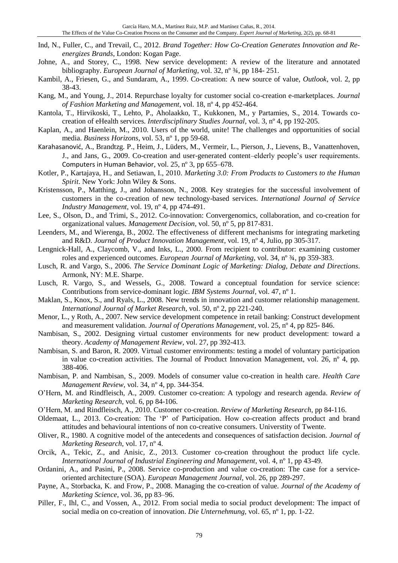- Ind, N., Fuller, C., and Trevail, C., 2012. *Brand Together: How Co-Creation Generates Innovation and Reenergizes Brands*, London: Kogan Page.
- Johne, A., and Storey, C., 1998. New service development: A review of the literature and annotated bibliography. *European Journal of Marketing*, vol. 32, nº ¾, pp 184- 251.
- Kambil, A., Friesen, G., and Sundaram, A., 1999. Co-creation: A new source of value, *Outlook*, vol. 2, pp 38-43.
- Kang, M., and Young, J., 2014. Repurchase loyalty for customer social co-creation e-marketplaces. *Journal of Fashion Marketing and Management*, vol. 18, nº 4, pp 452-464.
- Kantola, T., Hirvikoski, T., Lehto, P., Aholaakko, T., Kukkonen, M., y Partamies, S., 2014. Towards cocreation of eHealth services. *Interdisciplinary Studies Journal*, vol. 3, nº 4, pp 192-205.
- Kaplan, A., and Haenlein, M., 2010. Users of the world, unite! The challenges and opportunities of social media. *Business Horizons*, vol. 53, nº 1, pp 59-68.
- [Karahasanović](http://www.sciencedirect.com/science/article/pii/S0747563208001726), A., Brandtzg. P., Heim, J., Lüders, M., Vermeir, L., Pierson, J., Lievens, B., Vanattenhoven, J., and Jans, G., 2009. Co-creation and user-generated content–elderly people's user requirements. [Computers in Human Behavior](http://www.sciencedirect.com/science/journal/07475632), vol. 25, nº 3, pp 655–678.
- Kotler, P., Kartajaya, H., and Setiawan, I., 2010. *Marketing 3.0: From Products to Customers to the Human Spirit*. New York: John Wiley & Sons.
- Kristensson, P., Matthing, J., and Johansson, N., 2008. Key strategies for the successful involvement of customers in the co-creation of new technology-based services. *International Journal of Service Industry Management,* vol. 19, nº 4, pp 474-491.
- Lee, S., Olson, D., and Trimi, S., 2012. Co-innovation: Convergenomics, collaboration, and co-creation for organizational values. *Management Decision*, vol. 50, nº 5, pp 817-831.
- Leenders, M., and Wierenga, B., 2002. The effectiveness of different mechanisms for integrating marketing and R&D. *Journal of Product Innovation Management*, vol. 19, nº 4, Julio, pp 305-317.
- Lengnick-Hall, A., Claycomb, V., and Inks, L., 2000. From recipient to contributor: examining customer roles and experienced outcomes. *European Journal of Marketing*, vol. 34, nº ¾, pp 359-383.
- Lusch, R. and Vargo, S., 2006. *The Service Dominant Logic of Marketing: Dialog, Debate and Directions*. Armonk, NY: M.E. Sharpe.
- Lusch, R. Vargo, S., and Wessels, G., 2008. Toward a conceptual foundation for service science: Contributions from service-dominant logic. *IBM Systems Journal,* vol. 47, nº 1.
- Maklan, S., Knox, S., and Ryals, L., 2008. New trends in innovation and customer relationship management. *International Journal of Market Research*, vol. 50, nº 2, pp 221-240.
- Menor, L., y Roth, A., 2007. New service development competence in retail banking: Construct development and measurement validation. *Journal of Operations Management*, vol. 25, nº 4, pp 825- 846.
- Nambisan, S., 2002. Designing virtual customer environments for new product development: toward a theory. *Academy of Management Review,* vol. 27, pp 392-413.
- Nambisan, S. and Baron, R. 2009. Virtual customer environments: testing a model of voluntary participation in value co-creation activities. The Journal of Product Innovation Management, vol. 26, nº 4, pp. 388-406.
- Nambisan, P. and Nambisan, S., 2009. Models of consumer value co-creation in health care. *Health Care Management Review*, vol. 34, nº 4, pp. 344-354.
- O'Hern, M. and Rindfleisch, A., 2009. Customer co-creation: A typology and research agenda. *Review of Marketing Research,* vol. 6, pp 84-106.
- O'Hern, M. and Rindfleisch, A., 2010. Customer co-creation. *Review of Marketing Research*, pp 84-116.
- Oldemaat, L., 2013. Co-creation: The 'P' of Participation. How co-creation affects product and brand attitudes and behavioural intentions of non co-creative consumers. Universtity of Twente.
- Oliver, R., 1980. A cognitive model of the antecedents and consequences of satisfaction decision. *Journal of Marketing Research,* vol. 17, nº 4.
- Orcik, A., Tekic, Z., and Anisic, Z., 2013. Customer co-creation throughout the product life cycle. *International Journal of Industrial Engineering and Management*, vol. 4, nº 1, pp 43-49.
- Ordanini, A., and Pasini, P., 2008. Service co-production and value co-creation: The case for a serviceoriented architecture (SOA). *European Management Journal*, vol. 26, pp 289-297.
- Payne, A., Storbacka, K. and Frow, P., 2008. Managing the co-creation of value. *Journal of the Academy of Marketing Science*, vol. 36, pp 83–96.
- Piller, F., Ihl, C., and Vossen, A., 2012. From social media to social product development: The impact of social media on co-creation of innovation. *Die Unternehmung,* vol. 65, nº 1, pp. 1-22.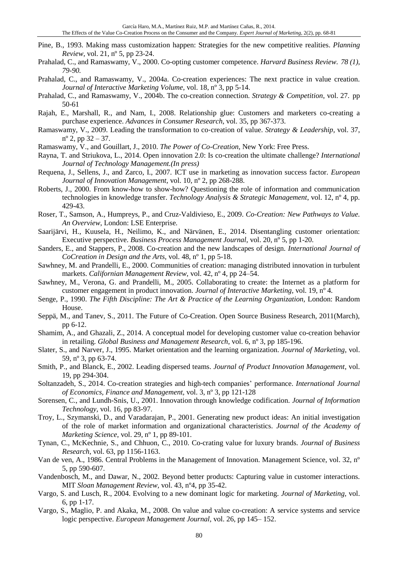- Pine, B., 1993. Making mass customization happen: Strategies for the new competitive realities. *Planning Review,* vol. 21, nº 5, pp 23-24.
- Prahalad, C., and Ramaswamy, V., 2000. Co-opting customer competence. *Harvard Business Review. 78 (1), 79-90.*
- Prahalad, C., and Ramaswamy, V., 2004a. Co-creation experiences: The next practice in value creation. *Journal of Interactive Marketing Volume,* vol. 18, nº 3, pp 5-14.
- Prahalad, C., and Ramaswamy, V., 2004b. The co-creation connection. *Strategy & Competition*, vol. 27. pp 50-61
- Rajah, E., Marshall, R., and Nam, I., 2008. Relationship glue: Customers and marketers co-creating a purchase experience. *Advances in Consumer Research*, vol. 35, pp 367-373.
- Ramaswamy, V., 2009. Leading the transformation to co‐creation of value. *Strategy & Leadership,* vol. 37,  $n^{\circ}$  2, pp 32 – 37.
- Ramaswamy, V., and Gouillart, J., 2010. *The Power of Co-Creation*, New York: Free Press.
- Rayna, T. and Striukova, L., 2014. Open innovation 2.0: Is co-creation the ultimate challenge? *International Journal of Technology Management.(In press)*
- Requena, J., Sellens, J., and Zarco, I., 2007. ICT use in marketing as innovation success factor. *European Journal of Innovation Management,* vol. 10, nº 2, pp 268-288.
- Roberts, J., 2000. From know-how to show-how? Questioning the role of information and communication technologies in knowledge transfer. *Technology Analysis & Strategic Management*, vol. 12, nº 4, pp. 429-43.
- Roser, T., Samson, A., Humpreys, P., and Cruz-Valdivieso, E., 2009. *Co-Creation: New Pathways to Value. An Overview*, London: LSE Enterprise*.*
- Saarijärvi, H., Kuusela, H., Neilimo, K., and Närvänen, E., 2014. Disentangling customer orientation: Executive perspective. *Business Process Management Journal*, vol. 20, nº 5, pp 1-20.
- Sanders, E., and Stappers, P., 2008. Co-creation and the new landscapes of design. *International Journal of CoCreation in Design and the Arts,* vol. 48, nº 1, pp 5-18.
- Sawhney, M. and Prandelli, E., 2000. Communities of creation: managing distributed innovation in turbulent markets. *Californian Management Review,* vol. 42, nº 4, pp 24–54.
- Sawhney, M., Verona, G. and Prandelli, M., 2005. Collaborating to create: the Internet as a platform for customer engagement in product innovation. *Journal of Interactive Marketing,* vol. 19, nº 4*.*
- Senge, P., 1990. *The Fifth Discipline: The Art & Practice of the Learning Organization*, London: Random House.
- Seppä, M., and Tanev, S., 2011. The Future of Co-Creation. Open Source Business Research, 2011(March), pp 6-12.
- Shamim, A., and Ghazali, Z., 2014. A conceptual model for developing customer value co-creation behavior in retailing. *Global Business and Management Research*, vol. 6, nº 3, pp 185-196.
- Slater, S., and Narver, J., 1995. Market orientation and the learning organization. *Journal of Marketing*, vol. 59, nº 3, pp 63-74.
- Smith, P., and Blanck, E., 2002. Leading dispersed teams. *Journal of Product Innovation Management*, vol. 19, pp 294-304.
- Soltanzadeh, S., 2014. Co-creation strategies and high-tech companies' performance. *International Journal of Economics, Finance and Management,* vol. 3, nº 3, pp 121-128
- Sorensen, C., and Lundh-Snis, U., 2001. Innovation through knowledge codification. *Journal of Information Technology,* vol. 16, pp 83-97.
- Troy, L., Szymanski, D., and Varadarajan, P., 2001. Generating new product ideas: An initial investigation of the role of market information and organizational characteristics. *Journal of the Academy of Marketing Science*, vol. 29, nº 1, pp 89-101.
- Tynan, C., McKechnie, S., and Chhuon, C., 2010. Co-crating value for luxury brands. *Journal of Business Research*, vol. 63, pp 1156-1163.
- Van de ven, A., 1986. Central Problems in the Management of Innovation. Management Science, vol. 32, nº 5, pp 590-607.
- Vandenbosch, M., and Dawar, N., 2002. Beyond better products: Capturing value in customer interactions. MIT *Sloan Management Review,* vol. 43, nº4, pp 35-42.
- Vargo, S. and Lusch, R., 2004. Evolving to a new dominant logic for marketing. *Journal of Marketing,* vol. 6, pp 1-17.
- Vargo, S., Maglio, P. and Akaka, M., 2008. On value and value co-creation: A service systems and service logic perspective. *European Management Journal,* vol. 26, pp 145– 152.